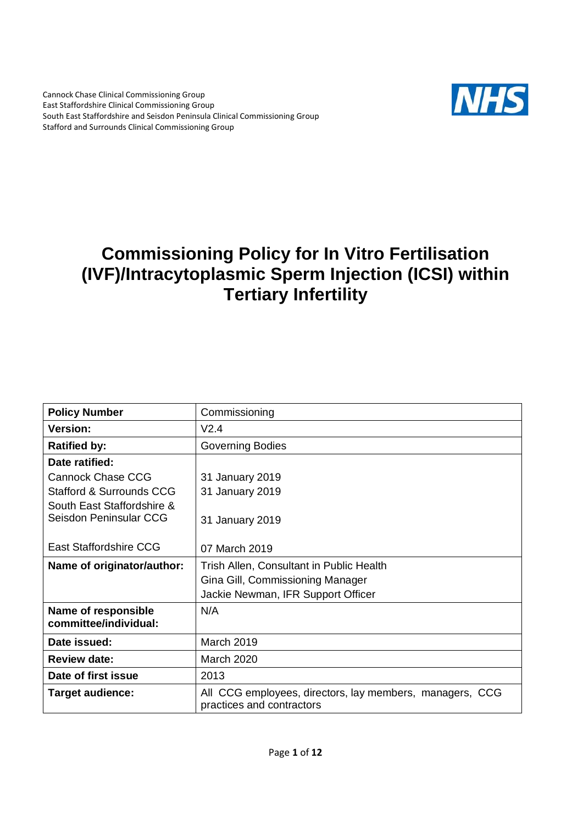Cannock Chase Clinical Commissioning Group East Staffordshire Clinical Commissioning Group South East Staffordshire and Seisdon Peninsula Clinical Commissioning Group Stafford and Surrounds Clinical Commissioning Group



# **Commissioning Policy for In Vitro Fertilisation (IVF)/Intracytoplasmic Sperm Injection (ICSI) within Tertiary Infertility**

| <b>Policy Number</b>                | Commissioning                                                                         |
|-------------------------------------|---------------------------------------------------------------------------------------|
| <b>Version:</b>                     | V2.4                                                                                  |
| <b>Ratified by:</b>                 | Governing Bodies                                                                      |
| Date ratified:                      |                                                                                       |
| <b>Cannock Chase CCG</b>            | 31 January 2019                                                                       |
| <b>Stafford &amp; Surrounds CCG</b> | 31 January 2019                                                                       |
| South East Staffordshire &          |                                                                                       |
| Seisdon Peninsular CCG              | 31 January 2019                                                                       |
|                                     |                                                                                       |
| East Staffordshire CCG              | 07 March 2019                                                                         |
| Name of originator/author:          | Trish Allen, Consultant in Public Health                                              |
|                                     | Gina Gill, Commissioning Manager                                                      |
|                                     | Jackie Newman, IFR Support Officer                                                    |
| Name of responsible                 | N/A                                                                                   |
| committee/individual:               |                                                                                       |
| Date issued:                        | March 2019                                                                            |
| <b>Review date:</b>                 | <b>March 2020</b>                                                                     |
| Date of first issue                 | 2013                                                                                  |
| <b>Target audience:</b>             | All CCG employees, directors, lay members, managers, CCG<br>practices and contractors |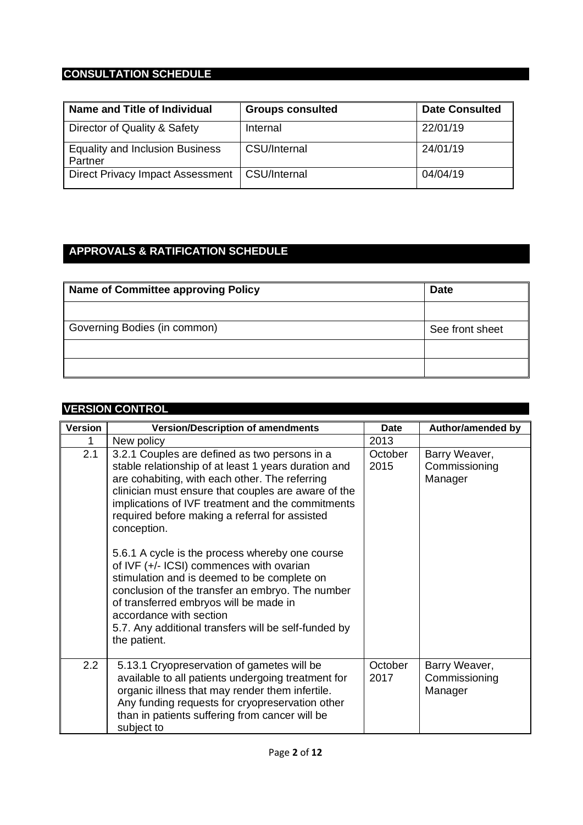### **CONSULTATION SCHEDULE**

| Name and Title of Individual                      | <b>Groups consulted</b> | <b>Date Consulted</b> |
|---------------------------------------------------|-------------------------|-----------------------|
| Director of Quality & Safety                      | Internal                | 22/01/19              |
| <b>Equality and Inclusion Business</b><br>Partner | CSU/Internal            | 24/01/19              |
| Direct Privacy Impact Assessment                  | CSU/Internal            | 04/04/19              |

### **APPROVALS & RATIFICATION SCHEDULE**

| <b>Name of Committee approving Policy</b> | <b>Date</b>     |
|-------------------------------------------|-----------------|
|                                           |                 |
| Governing Bodies (in common)              | See front sheet |
|                                           |                 |
|                                           |                 |

| <b>VERSION CONTROL</b> |                                                                                                                                                                                                                                                                                                                                                                                                                                                                                                                                                                                                                                                                                     |                 |                                           |  |
|------------------------|-------------------------------------------------------------------------------------------------------------------------------------------------------------------------------------------------------------------------------------------------------------------------------------------------------------------------------------------------------------------------------------------------------------------------------------------------------------------------------------------------------------------------------------------------------------------------------------------------------------------------------------------------------------------------------------|-----------------|-------------------------------------------|--|
| <b>Version</b>         | <b>Version/Description of amendments</b>                                                                                                                                                                                                                                                                                                                                                                                                                                                                                                                                                                                                                                            | <b>Date</b>     | Author/amended by                         |  |
|                        | New policy                                                                                                                                                                                                                                                                                                                                                                                                                                                                                                                                                                                                                                                                          | 2013            |                                           |  |
| 2.1                    | 3.2.1 Couples are defined as two persons in a<br>stable relationship of at least 1 years duration and<br>are cohabiting, with each other. The referring<br>clinician must ensure that couples are aware of the<br>implications of IVF treatment and the commitments<br>required before making a referral for assisted<br>conception.<br>5.6.1 A cycle is the process whereby one course<br>of IVF (+/- ICSI) commences with ovarian<br>stimulation and is deemed to be complete on<br>conclusion of the transfer an embryo. The number<br>of transferred embryos will be made in<br>accordance with section<br>5.7. Any additional transfers will be self-funded by<br>the patient. | October<br>2015 | Barry Weaver,<br>Commissioning<br>Manager |  |
| 2.2                    | 5.13.1 Cryopreservation of gametes will be<br>available to all patients undergoing treatment for<br>organic illness that may render them infertile.<br>Any funding requests for cryopreservation other<br>than in patients suffering from cancer will be<br>subject to                                                                                                                                                                                                                                                                                                                                                                                                              | October<br>2017 | Barry Weaver,<br>Commissioning<br>Manager |  |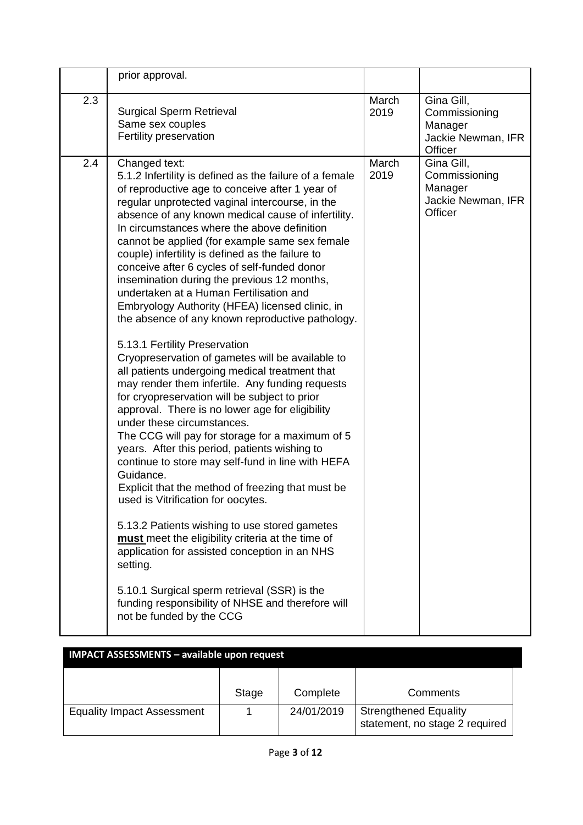|     | prior approval.                                                                                                                                                                                                                                                                                                                                                                                                                                                                                                                                                                                                                                                                                                                                                                                                                                                                                                                                                                                                                                                                                                                                                                                                                                                                                                                                                                                                                                                                                                                             |               |                                                                         |
|-----|---------------------------------------------------------------------------------------------------------------------------------------------------------------------------------------------------------------------------------------------------------------------------------------------------------------------------------------------------------------------------------------------------------------------------------------------------------------------------------------------------------------------------------------------------------------------------------------------------------------------------------------------------------------------------------------------------------------------------------------------------------------------------------------------------------------------------------------------------------------------------------------------------------------------------------------------------------------------------------------------------------------------------------------------------------------------------------------------------------------------------------------------------------------------------------------------------------------------------------------------------------------------------------------------------------------------------------------------------------------------------------------------------------------------------------------------------------------------------------------------------------------------------------------------|---------------|-------------------------------------------------------------------------|
| 2.3 | <b>Surgical Sperm Retrieval</b><br>Same sex couples<br>Fertility preservation                                                                                                                                                                                                                                                                                                                                                                                                                                                                                                                                                                                                                                                                                                                                                                                                                                                                                                                                                                                                                                                                                                                                                                                                                                                                                                                                                                                                                                                               | March<br>2019 | Gina Gill,<br>Commissioning<br>Manager<br>Jackie Newman, IFR<br>Officer |
| 2.4 | Changed text:<br>5.1.2 Infertility is defined as the failure of a female<br>of reproductive age to conceive after 1 year of<br>regular unprotected vaginal intercourse, in the<br>absence of any known medical cause of infertility.<br>In circumstances where the above definition<br>cannot be applied (for example same sex female<br>couple) infertility is defined as the failure to<br>conceive after 6 cycles of self-funded donor<br>insemination during the previous 12 months,<br>undertaken at a Human Fertilisation and<br>Embryology Authority (HFEA) licensed clinic, in<br>the absence of any known reproductive pathology.<br>5.13.1 Fertility Preservation<br>Cryopreservation of gametes will be available to<br>all patients undergoing medical treatment that<br>may render them infertile. Any funding requests<br>for cryopreservation will be subject to prior<br>approval. There is no lower age for eligibility<br>under these circumstances.<br>The CCG will pay for storage for a maximum of 5<br>years. After this period, patients wishing to<br>continue to store may self-fund in line with HEFA<br>Guidance.<br>Explicit that the method of freezing that must be<br>used is Vitrification for oocytes.<br>5.13.2 Patients wishing to use stored gametes<br>must meet the eligibility criteria at the time of<br>application for assisted conception in an NHS<br>setting.<br>5.10.1 Surgical sperm retrieval (SSR) is the<br>funding responsibility of NHSE and therefore will<br>not be funded by the CCG | March<br>2019 | Gina Gill,<br>Commissioning<br>Manager<br>Jackie Newman, IFR<br>Officer |

| <b>IMPACT ASSESSMENTS - available upon request</b> |       |            |                                                                |
|----------------------------------------------------|-------|------------|----------------------------------------------------------------|
|                                                    | Stage | Complete   | Comments                                                       |
| <b>Equality Impact Assessment</b>                  |       | 24/01/2019 | <b>Strengthened Equality</b><br>statement, no stage 2 required |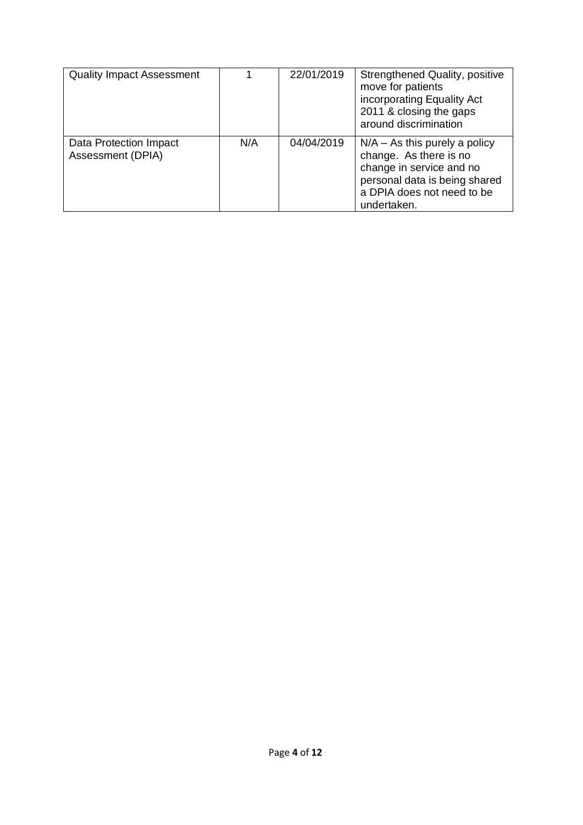| <b>Quality Impact Assessment</b>            |     | 22/01/2019 | Strengthened Quality, positive<br>move for patients<br>incorporating Equality Act<br>2011 & closing the gaps<br>around discrimination                               |
|---------------------------------------------|-----|------------|---------------------------------------------------------------------------------------------------------------------------------------------------------------------|
| Data Protection Impact<br>Assessment (DPIA) | N/A | 04/04/2019 | $N/A - As$ this purely a policy<br>change. As there is no<br>change in service and no<br>personal data is being shared<br>a DPIA does not need to be<br>undertaken. |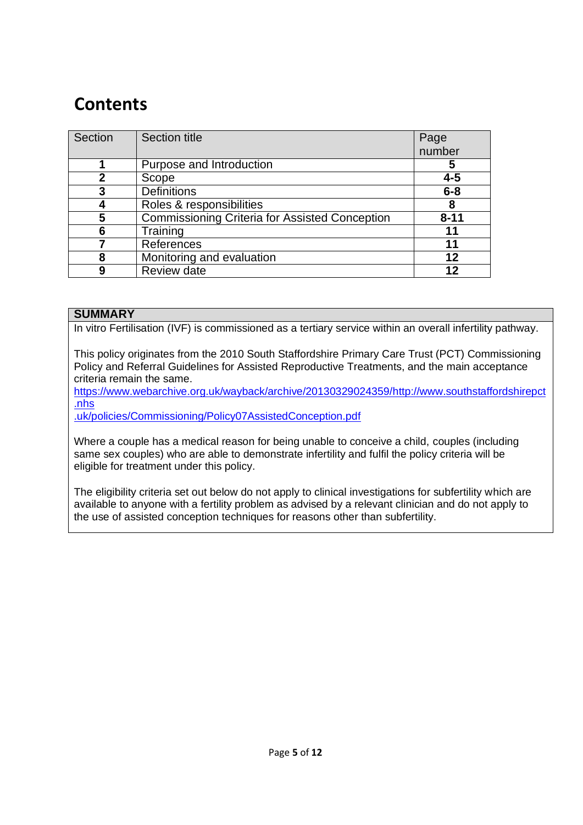# **Contents**

| Section     | <b>Section title</b>                                  | Page     |
|-------------|-------------------------------------------------------|----------|
|             |                                                       | number   |
|             | Purpose and Introduction                              | 5        |
| $\mathbf 2$ | Scope                                                 | $4 - 5$  |
| 3           | <b>Definitions</b>                                    | $6 - 8$  |
|             | Roles & responsibilities                              | 8        |
| 5           | <b>Commissioning Criteria for Assisted Conception</b> | $8 - 11$ |
| 6           | Training                                              | 11       |
|             | References                                            | 11       |
| 8           | Monitoring and evaluation                             | 12       |
| 9           | <b>Review date</b>                                    | 12       |

#### **SUMMARY**

In vitro Fertilisation (IVF) is commissioned as a tertiary service within an overall infertility pathway.

This policy originates from the 2010 South Staffordshire Primary Care Trust (PCT) Commissioning Policy and Referral Guidelines for Assisted Reproductive Treatments, and the main acceptance criteria remain the same.

https://www.webarchive.org.uk/wayback/archive/20130329024359[/http://www.southstaffordshirepct](http://www.southstaffordshirepct.nhs/) [.nhs](http://www.southstaffordshirepct.nhs/)

.uk/policies/Commissioning/Policy07AssistedConception.pdf

Where a couple has a medical reason for being unable to conceive a child, couples (including same sex couples) who are able to demonstrate infertility and fulfil the policy criteria will be eligible for treatment under this policy.

The eligibility criteria set out below do not apply to clinical investigations for subfertility which are available to anyone with a fertility problem as advised by a relevant clinician and do not apply to the use of assisted conception techniques for reasons other than subfertility.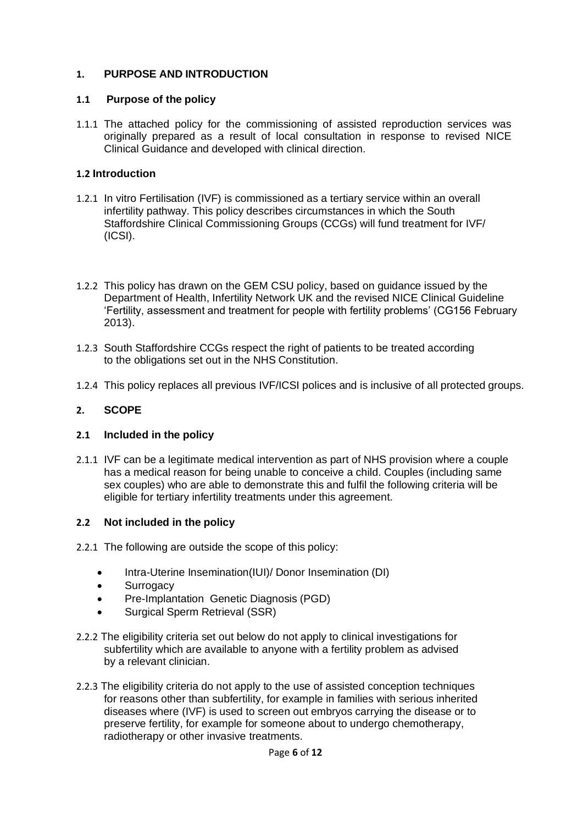#### **1. PURPOSE AND INTRODUCTION**

#### **1.1 Purpose of the policy**

1.1.1 The attached policy for the commissioning of assisted reproduction services was originally prepared as a result of local consultation in response to revised NICE Clinical Guidance and developed with clinical direction.

#### **1.2 Introduction**

- 1.2.1 In vitro Fertilisation (IVF) is commissioned as a tertiary service within an overall infertility pathway. This policy describes circumstances in which the South Staffordshire Clinical Commissioning Groups (CCGs) will fund treatment for IVF/ (ICSI).
- 1.2.2 This policy has drawn on the GEM CSU policy, based on guidance issued by the Department of Health, Infertility Network UK and the revised NICE Clinical Guideline 'Fertility, assessment and treatment for people with fertility problems' (CG156 February 2013).
- 1.2.3 South Staffordshire CCGs respect the right of patients to be treated according to the obligations set out in the NHS Constitution.
- 1.2.4 This policy replaces all previous IVF/ICSI polices and is inclusive of all protected groups.

#### **2. SCOPE**

#### **2.1 Included in the policy**

2.1.1 IVF can be a legitimate medical intervention as part of NHS provision where a couple has a medical reason for being unable to conceive a child. Couples (including same sex couples) who are able to demonstrate this and fulfil the following criteria will be eligible for tertiary infertility treatments under this agreement.

#### **2.2 Not included in the policy**

- 2.2.1 The following are outside the scope of this policy:
	- Intra-Uterine Insemination(IUI)/ Donor Insemination (DI)
	- Surrogacy
	- Pre-Implantation Genetic Diagnosis (PGD)
	- Surgical Sperm Retrieval (SSR)
- 2.2.2 The eligibility criteria set out below do not apply to clinical investigations for subfertility which are available to anyone with a fertility problem as advised by a relevant clinician.
- 2.2.3 The eligibility criteria do not apply to the use of assisted conception techniques for reasons other than subfertility, for example in families with serious inherited diseases where (IVF) is used to screen out embryos carrying the disease or to preserve fertility, for example for someone about to undergo chemotherapy, radiotherapy or other invasive treatments.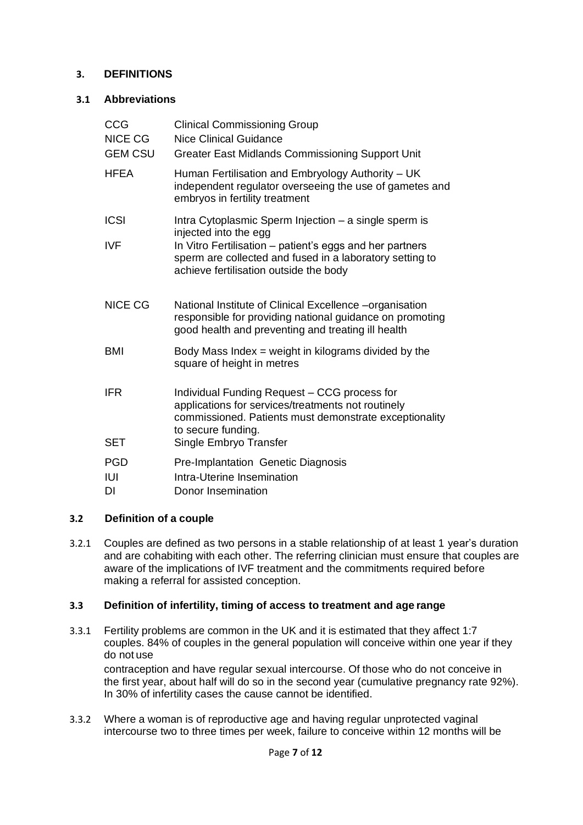#### **3. DEFINITIONS**

#### **3.1 Abbreviations**

| <b>Clinical Commissioning Group</b><br>Nice Clinical Guidance<br>Greater East Midlands Commissioning Support Unit                                                                  |
|------------------------------------------------------------------------------------------------------------------------------------------------------------------------------------|
| Human Fertilisation and Embryology Authority - UK<br>independent regulator overseeing the use of gametes and<br>embryos in fertility treatment                                     |
| Intra Cytoplasmic Sperm Injection - a single sperm is<br>injected into the egg<br>In Vitro Fertilisation - patient's eggs and her partners                                         |
| sperm are collected and fused in a laboratory setting to<br>achieve fertilisation outside the body                                                                                 |
| National Institute of Clinical Excellence -organisation<br>responsible for providing national guidance on promoting<br>good health and preventing and treating ill health          |
| Body Mass Index $=$ weight in kilograms divided by the<br>square of height in metres                                                                                               |
| Individual Funding Request - CCG process for<br>applications for services/treatments not routinely<br>commissioned. Patients must demonstrate exceptionality<br>to secure funding. |
| Single Embryo Transfer                                                                                                                                                             |
| Pre-Implantation Genetic Diagnosis<br>Intra-Uterine Insemination<br>Donor Insemination                                                                                             |
|                                                                                                                                                                                    |

#### **3.2 Definition of a couple**

3.2.1 Couples are defined as two persons in a stable relationship of at least 1 year's duration and are cohabiting with each other. The referring clinician must ensure that couples are aware of the implications of IVF treatment and the commitments required before making a referral for assisted conception.

#### **3.3 Definition of infertility, timing of access to treatment and age range**

- 3.3.1 Fertility problems are common in the UK and it is estimated that they affect 1:7 couples. 84% of couples in the general population will conceive within one year if they do not use contraception and have regular sexual intercourse. Of those who do not conceive in the first year, about half will do so in the second year (cumulative pregnancy rate 92%). In 30% of infertility cases the cause cannot be identified.
- 3.3.2 Where a woman is of reproductive age and having regular unprotected vaginal intercourse two to three times per week, failure to conceive within 12 months will be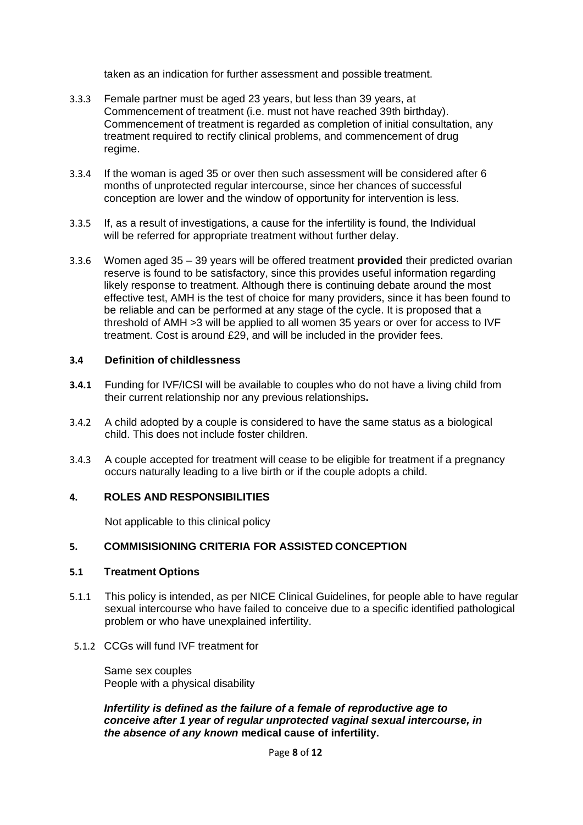taken as an indication for further assessment and possible treatment.

- 3.3.3 Female partner must be aged 23 years, but less than 39 years, at Commencement of treatment (i.e. must not have reached 39th birthday). Commencement of treatment is regarded as completion of initial consultation, any treatment required to rectify clinical problems, and commencement of drug regime.
- 3.3.4 If the woman is aged 35 or over then such assessment will be considered after 6 months of unprotected regular intercourse, since her chances of successful conception are lower and the window of opportunity for intervention is less.
- 3.3.5 If, as a result of investigations, a cause for the infertility is found, the Individual will be referred for appropriate treatment without further delay.
- 3.3.6 Women aged 35 39 years will be offered treatment **provided** their predicted ovarian reserve is found to be satisfactory, since this provides useful information regarding likely response to treatment. Although there is continuing debate around the most effective test, AMH is the test of choice for many providers, since it has been found to be reliable and can be performed at any stage of the cycle. It is proposed that a threshold of AMH >3 will be applied to all women 35 years or over for access to IVF treatment. Cost is around £29, and will be included in the provider fees.

#### **3.4 Definition of childlessness**

- **3.4.1** Funding for IVF/ICSI will be available to couples who do not have a living child from their current relationship nor any previous relationships**.**
- 3.4.2 A child adopted by a couple is considered to have the same status as a biological child. This does not include foster children.
- 3.4.3 A couple accepted for treatment will cease to be eligible for treatment if a pregnancy occurs naturally leading to a live birth or if the couple adopts a child.

#### **4. ROLES AND RESPONSIBILITIES**

Not applicable to this clinical policy

#### **5. COMMISISIONING CRITERIA FOR ASSISTED CONCEPTION**

#### **5.1 Treatment Options**

- 5.1.1 This policy is intended, as per NICE Clinical Guidelines, for people able to have regular sexual intercourse who have failed to conceive due to a specific identified pathological problem or who have unexplained infertility.
- 5.1.2 CCGs will fund IVF treatment for

Same sex couples People with a physical disability

#### *Infertility is defined as the failure of a female of reproductive age to conceive after 1 year of regular unprotected vaginal sexual intercourse, in the absence of any known* **medical cause of infertility.**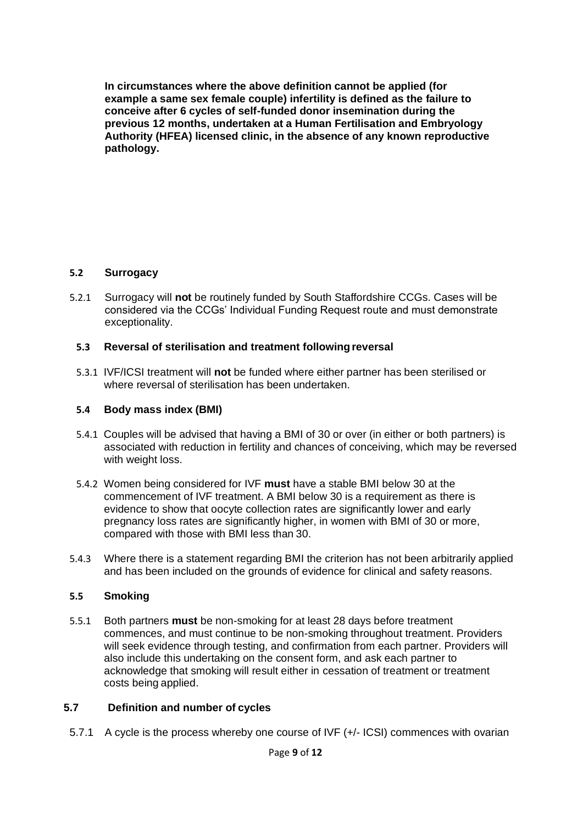**In circumstances where the above definition cannot be applied (for example a same sex female couple) infertility is defined as the failure to conceive after 6 cycles of self-funded donor insemination during the previous 12 months, undertaken at a Human Fertilisation and Embryology Authority (HFEA) licensed clinic, in the absence of any known reproductive pathology.**

#### **5.2 Surrogacy**

5.2.1 Surrogacy will **not** be routinely funded by South Staffordshire CCGs. Cases will be considered via the CCGs' Individual Funding Request route and must demonstrate exceptionality.

#### **5.3 Reversal of sterilisation and treatment followingreversal**

5.3.1 IVF/ICSI treatment will **not** be funded where either partner has been sterilised or where reversal of sterilisation has been undertaken.

#### **5.4 Body mass index (BMI)**

- 5.4.1 Couples will be advised that having a BMI of 30 or over (in either or both partners) is associated with reduction in fertility and chances of conceiving, which may be reversed with weight loss.
- 5.4.2 Women being considered for IVF **must** have a stable BMI below 30 at the commencement of IVF treatment. A BMI below 30 is a requirement as there is evidence to show that oocyte collection rates are significantly lower and early pregnancy loss rates are significantly higher, in women with BMI of 30 or more, compared with those with BMI less than 30.
- 5.4.3 Where there is a statement regarding BMI the criterion has not been arbitrarily applied and has been included on the grounds of evidence for clinical and safety reasons.

#### **5.5 Smoking**

5.5.1 Both partners **must** be non-smoking for at least 28 days before treatment commences, and must continue to be non-smoking throughout treatment. Providers will seek evidence through testing, and confirmation from each partner. Providers will also include this undertaking on the consent form, and ask each partner to acknowledge that smoking will result either in cessation of treatment or treatment costs being applied.

#### **5.7 Definition and number of cycles**

5.7.1 A cycle is the process whereby one course of IVF (+/- ICSI) commences with ovarian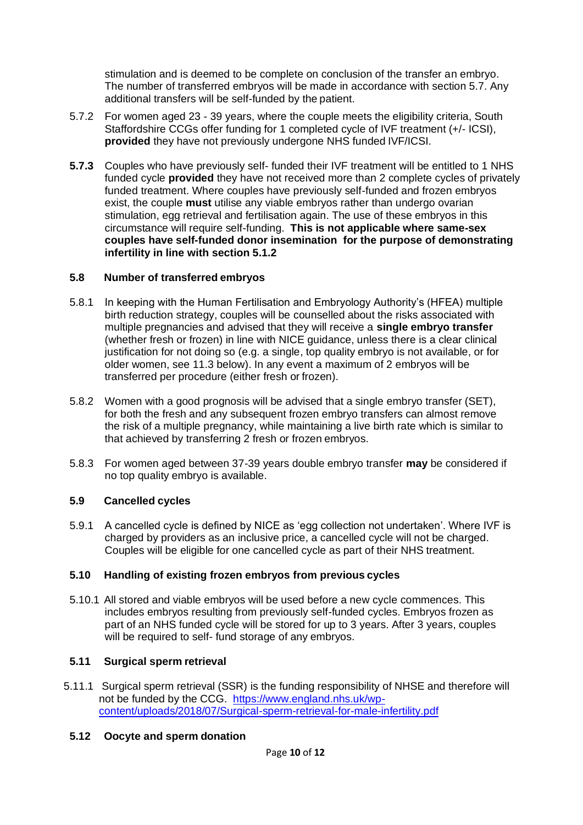stimulation and is deemed to be complete on conclusion of the transfer an embryo. The number of transferred embryos will be made in accordance with section 5.7. Any additional transfers will be self-funded by the patient.

- 5.7.2 For women aged 23 39 years, where the couple meets the eligibility criteria, South Staffordshire CCGs offer funding for 1 completed cycle of IVF treatment (+/- ICSI), **provided** they have not previously undergone NHS funded IVF/ICSI.
- **5.7.3** Couples who have previously self- funded their IVF treatment will be entitled to 1 NHS funded cycle **provided** they have not received more than 2 complete cycles of privately funded treatment. Where couples have previously self-funded and frozen embryos exist, the couple **must** utilise any viable embryos rather than undergo ovarian stimulation, egg retrieval and fertilisation again. The use of these embryos in this circumstance will require self-funding. **This is not applicable where same-sex couples have self-funded donor insemination for the purpose of demonstrating infertility in line with section 5.1.2**

#### **5.8 Number of transferred embryos**

- 5.8.1 In keeping with the Human Fertilisation and Embryology Authority's (HFEA) multiple birth reduction strategy, couples will be counselled about the risks associated with multiple pregnancies and advised that they will receive a **single embryo transfer**  (whether fresh or frozen) in line with NICE guidance, unless there is a clear clinical justification for not doing so (e.g. a single, top quality embryo is not available, or for older women, see 11.3 below). In any event a maximum of 2 embryos will be transferred per procedure (either fresh or frozen).
- 5.8.2 Women with a good prognosis will be advised that a single embryo transfer (SET), for both the fresh and any subsequent frozen embryo transfers can almost remove the risk of a multiple pregnancy, while maintaining a live birth rate which is similar to that achieved by transferring 2 fresh or frozen embryos.
- 5.8.3 For women aged between 37-39 years double embryo transfer **may** be considered if no top quality embryo is available.

#### **5.9 Cancelled cycles**

5.9.1 A cancelled cycle is defined by NICE as 'egg collection not undertaken'. Where IVF is charged by providers as an inclusive price, a cancelled cycle will not be charged. Couples will be eligible for one cancelled cycle as part of their NHS treatment.

#### **5.10 Handling of existing frozen embryos from previous cycles**

5.10.1 All stored and viable embryos will be used before a new cycle commences. This includes embryos resulting from previously self-funded cycles. Embryos frozen as part of an NHS funded cycle will be stored for up to 3 years. After 3 years, couples will be required to self- fund storage of any embryos.

#### **5.11 Surgical sperm retrieval**

5.11.1 Surgical sperm retrieval (SSR) is the funding responsibility of NHSE and therefore will not be funded by the CCG. [https://www.england.nhs.uk/wp](https://www.england.nhs.uk/wp-content/uploads/2018/07/Surgical-sperm-retrieval-for-male-infertility.pdf)[content/uploads/2018/07/Surgical-sperm-retrieval-for-male-infertility.pdf](https://www.england.nhs.uk/wp-content/uploads/2018/07/Surgical-sperm-retrieval-for-male-infertility.pdf)

#### **5.12 Oocyte and sperm donation**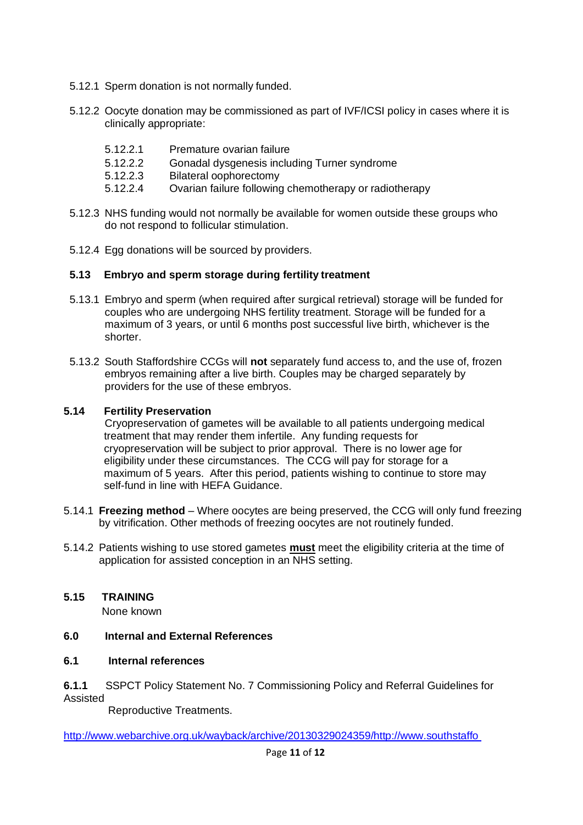- 5.12.1 Sperm donation is not normally funded.
- 5.12.2 Oocyte donation may be commissioned as part of IVF/ICSI policy in cases where it is clinically appropriate:
	- 5.12.2.1 Premature ovarian failure
	- 5.12.2.2 Gonadal dysgenesis including Turner syndrome
	- 5.12.2.3 Bilateral oophorectomy
	- 5.12.2.4 Ovarian failure following chemotherapy or radiotherapy
- 5.12.3 NHS funding would not normally be available for women outside these groups who do not respond to follicular stimulation.
- 5.12.4 Egg donations will be sourced by providers.

#### **5.13 Embryo and sperm storage during fertility treatment**

- 5.13.1 Embryo and sperm (when required after surgical retrieval) storage will be funded for couples who are undergoing NHS fertility treatment. Storage will be funded for a maximum of 3 years, or until 6 months post successful live birth, whichever is the shorter.
- 5.13.2 South Staffordshire CCGs will **not** separately fund access to, and the use of, frozen embryos remaining after a live birth. Couples may be charged separately by providers for the use of these embryos.

#### **5.14 Fertility Preservation**

Cryopreservation of gametes will be available to all patients undergoing medical treatment that may render them infertile. Any funding requests for cryopreservation will be subject to prior approval. There is no lower age for eligibility under these circumstances. The CCG will pay for storage for a maximum of 5 years. After this period, patients wishing to continue to store may self-fund in line with HEFA Guidance.

- 5.14.1 **Freezing method**  Where oocytes are being preserved, the CCG will only fund freezing by vitrification. Other methods of freezing oocytes are not routinely funded.
- 5.14.2 Patients wishing to use stored gametes **must** meet the eligibility criteria at the time of application for assisted conception in an NHS setting.

#### **5.15 TRAINING**

None known

#### **6.0 Internal and External References**

#### **6.1 Internal references**

**6.1.1** SSPCT Policy Statement No. 7 Commissioning Policy and Referral Guidelines for Assisted

Reproductive Treatments.

http://www.webarchive.org.uk/wayback/archive/20130329024359/http://www.southstaffo